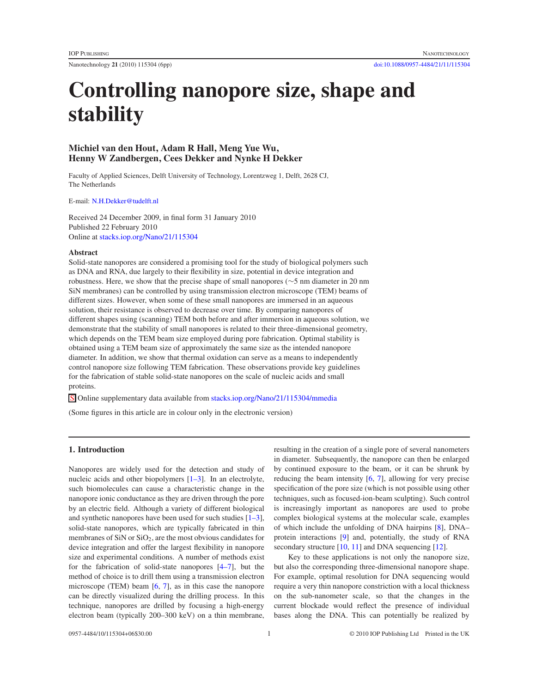Nanotechnology 21 (2010) 115304 (6pp) doi:10.1088/0957-4484/21/11/115304

# Controlling nanopore size, shape and stability

## Michiel van den Hout, Adam R Hall, Meng Yue Wu, Henny W Zandbergen, Cees Dekker and Nynke H Dekker

Faculty of Applied Sciences, Delft University of Technology, Lorentzweg 1, Delft, 2628 CJ, The Netherlands

E-mail: N.H.Dekker@tudelft.nl

Received 24 December 2009, in final form 31 January 2010 Published 22 February 2010 Online at stacks.iop.org/Nano/21/115304

#### Abstract

Solid-state nanopores are considered a promising tool for the study of biological polymers such as DNA and RNA, due largely to their flexibility in size, potential in device integration and robustness. Here, we show that the precise shape of small nanopores (∼5 nm diameter in 20 nm SiN membranes) can be controlled by using transmission electron microscope (TEM) beams of different sizes. However, when some of these small nanopores are immersed in an aqueous solution, their resistance is observed to decrease over time. By comparing nanopores of different shapes using (scanning) TEM both before and after immersion in aqueous solution, we demonstrate that the stability of small nanopores is related to their three-dimensional geometry, which depends on the TEM beam size employed during pore fabrication. Optimal stability is obtained using a TEM beam size of approximately the same size as the intended nanopore diameter. In addition, we show that thermal oxidation can serve as a means to independently control nanopore size following TEM fabrication. These observations provide key guidelines for the fabrication of stable solid-state nanopores on the scale of nucleic acids and small proteins.

S Online supplementary data available from stacks.iop.org/Nano/21/115304/mmedia

(Some figures in this article are in colour only in the electronic version)

## 1. Introduction

Nanopores are widely used for the detection and study of nucleic acids and other biopolymers  $[1-3]$ . In an electrolyte, such biomolecules can cause a characteristic change in the nanopore ionic conductance as they are driven through the pore by an electric field. Although a variety of different biological and synthetic nanopores have been used for such studies [1–3], solid-state nanopores, which are typically fabricated in thin membranes of  $\sinh$  or  $\sinh$ <sub>2</sub>, are the most obvious candidates for device integration and offer the largest flexibility in nanopore size and experimental conditions. A number of methods exist for the fabrication of solid-state nanopores [4–7], but the method of choice is to drill them using a transmission electron microscope (TEM) beam [6, 7], as in this case the nanopore can be directly visualized during the drilling process. In this technique, nanopores are drilled by focusing a high-energy electron beam (typically 200–300 keV) on a thin membrane,

resulting in the creation of a single pore of several nanometers in diameter. Subsequently, the nanopore can then be enlarged by continued exposure to the beam, or it can be shrunk by reducing the beam intensity  $[6, 7]$ , allowing for very precise specification of the pore size (which is not possible using other techniques, such as focused-ion-beam sculpting). Such control is increasingly important as nanopores are used to probe complex biological systems at the molecular scale, examples of which include the unfolding of DNA hairpins [8], DNA– protein interactions [9] and, potentially, the study of RNA secondary structure [10, 11] and DNA sequencing [12].

Key to these applications is not only the nanopore size, but also the corresponding three-dimensional nanopore shape. For example, optimal resolution for DNA sequencing would require a very thin nanopore constriction with a local thickness on the sub-nanometer scale, so that the changes in the current blockade would reflect the presence of individual bases along the DNA. This can potentially be realized by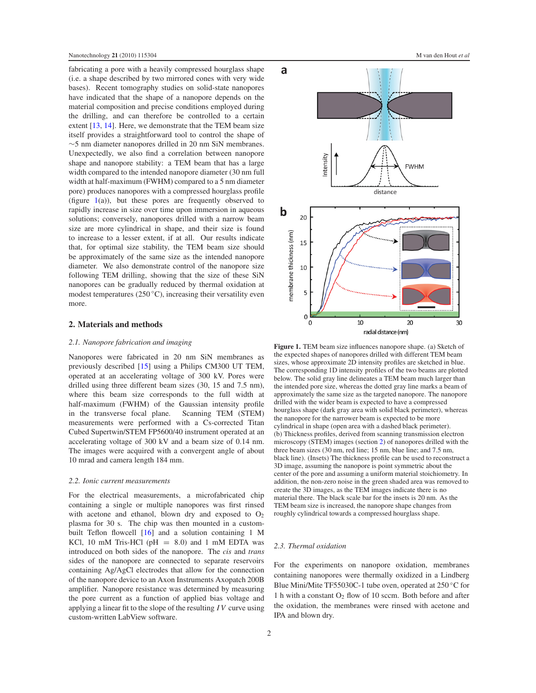fabricating a pore with a heavily compressed hourglass shape (i.e. a shape described by two mirrored cones with very wide bases). Recent tomography studies on solid-state nanopores have indicated that the shape of a nanopore depends on the material composition and precise conditions employed during the drilling, and can therefore be controlled to a certain extent [13, 14]. Here, we demonstrate that the TEM beam size itself provides a straightforward tool to control the shape of ∼5 nm diameter nanopores drilled in 20 nm SiN membranes. Unexpectedly, we also find a correlation between nanopore shape and nanopore stability: a TEM beam that has a large width compared to the intended nanopore diameter (30 nm full width at half-maximum (FWHM) compared to a 5 nm diameter pore) produces nanopores with a compressed hourglass profile (figure  $1(a)$ ), but these pores are frequently observed to rapidly increase in size over time upon immersion in aqueous solutions; conversely, nanopores drilled with a narrow beam size are more cylindrical in shape, and their size is found to increase to a lesser extent, if at all. Our results indicate that, for optimal size stability, the TEM beam size should be approximately of the same size as the intended nanopore diameter. We also demonstrate control of the nanopore size following TEM drilling, showing that the size of these SiN nanopores can be gradually reduced by thermal oxidation at modest temperatures (250 ◦C), increasing their versatility even more.

#### 2. Materials and methods

## *2.1. Nanopore fabrication and imaging*

Nanopores were fabricated in 20 nm SiN membranes as previously described [15] using a Philips CM300 UT TEM, operated at an accelerating voltage of 300 kV. Pores were drilled using three different beam sizes (30, 15 and 7.5 nm), where this beam size corresponds to the full width at half-maximum (FWHM) of the Gaussian intensity profile in the transverse focal plane. Scanning TEM (STEM) measurements were performed with a Cs-corrected Titan Cubed Supertwin/STEM FP5600/40 instrument operated at an accelerating voltage of 300 kV and a beam size of 0.14 nm. The images were acquired with a convergent angle of about 10 mrad and camera length 184 mm.

#### *2.2. Ionic current measurements*

For the electrical measurements, a microfabricated chip containing a single or multiple nanopores was first rinsed with acetone and ethanol, blown dry and exposed to  $O_2$ plasma for 30 s. The chip was then mounted in a custombuilt Teflon flowcell [16] and a solution containing 1 M KCl, 10 mM Tris-HCl ( $pH = 8.0$ ) and 1 mM EDTA was introduced on both sides of the nanopore. The *cis* and *trans* sides of the nanopore are connected to separate reservoirs containing Ag/AgCl electrodes that allow for the connection of the nanopore device to an Axon Instruments Axopatch 200B amplifier. Nanopore resistance was determined by measuring the pore current as a function of applied bias voltage and applying a linear fit to the slope of the resulting *I V* curve using custom-written LabView software.



Figure 1. TEM beam size influences nanopore shape. (a) Sketch of the expected shapes of nanopores drilled with different TEM beam sizes, whose approximate 2D intensity profiles are sketched in blue. The corresponding 1D intensity profiles of the two beams are plotted below. The solid gray line delineates a TEM beam much larger than the intended pore size, whereas the dotted gray line marks a beam of approximately the same size as the targeted nanopore. The nanopore drilled with the wider beam is expected to have a compressed hourglass shape (dark gray area with solid black perimeter), whereas the nanopore for the narrower beam is expected to be more cylindrical in shape (open area with a dashed black perimeter). (b) Thickness profiles, derived from scanning transmission electron microscopy (STEM) images (section 2) of nanopores drilled with the three beam sizes (30 nm, red line; 15 nm, blue line; and 7.5 nm, black line). (Insets) The thickness profile can be used to reconstruct a 3D image, assuming the nanopore is point symmetric about the center of the pore and assuming a uniform material stoichiometry. In addition, the non-zero noise in the green shaded area was removed to create the 3D images, as the TEM images indicate there is no material there. The black scale bar for the insets is 20 nm. As the TEM beam size is increased, the nanopore shape changes from roughly cylindrical towards a compressed hourglass shape.

#### *2.3. Thermal oxidation*

For the experiments on nanopore oxidation, membranes containing nanopores were thermally oxidized in a Lindberg Blue Mini/Mite TF55030C-1 tube oven, operated at 250 °C for 1 h with a constant  $O_2$  flow of 10 sccm. Both before and after the oxidation, the membranes were rinsed with acetone and IPA and blown dry.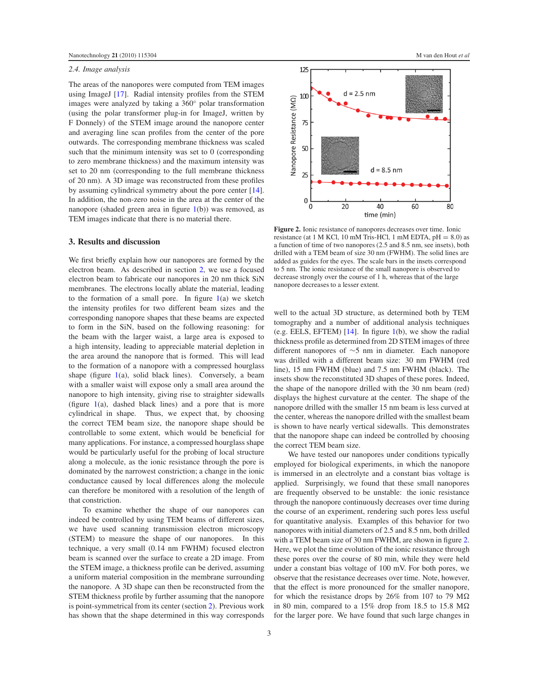#### *2.4. Image analysis*

The areas of the nanopores were computed from TEM images using ImageJ [17]. Radial intensity profiles from the STEM images were analyzed by taking a 360◦ polar transformation (using the polar transformer plug-in for ImageJ, written by F Donnely) of the STEM image around the nanopore center and averaging line scan profiles from the center of the pore outwards. The corresponding membrane thickness was scaled such that the minimum intensity was set to 0 (corresponding to zero membrane thickness) and the maximum intensity was set to 20 nm (corresponding to the full membrane thickness of 20 nm). A 3D image was reconstructed from these profiles by assuming cylindrical symmetry about the pore center [14]. In addition, the non-zero noise in the area at the center of the nanopore (shaded green area in figure  $1(b)$ ) was removed, as TEM images indicate that there is no material there.

#### 3. Results and discussion

We first briefly explain how our nanopores are formed by the electron beam. As described in section 2, we use a focused electron beam to fabricate our nanopores in 20 nm thick SiN membranes. The electrons locally ablate the material, leading to the formation of a small pore. In figure  $1(a)$  we sketch the intensity profiles for two different beam sizes and the corresponding nanopore shapes that these beams are expected to form in the SiN, based on the following reasoning: for the beam with the larger waist, a large area is exposed to a high intensity, leading to appreciable material depletion in the area around the nanopore that is formed. This will lead to the formation of a nanopore with a compressed hourglass shape (figure  $1(a)$ , solid black lines). Conversely, a beam with a smaller waist will expose only a small area around the nanopore to high intensity, giving rise to straighter sidewalls (figure  $1(a)$ , dashed black lines) and a pore that is more cylindrical in shape. Thus, we expect that, by choosing the correct TEM beam size, the nanopore shape should be controllable to some extent, which would be beneficial for many applications. For instance, a compressed hourglass shape would be particularly useful for the probing of local structure along a molecule, as the ionic resistance through the pore is dominated by the narrowest constriction; a change in the ionic conductance caused by local differences along the molecule can therefore be monitored with a resolution of the length of that constriction.

To examine whether the shape of our nanopores can indeed be controlled by using TEM beams of different sizes, we have used scanning transmission electron microscopy (STEM) to measure the shape of our nanopores. In this technique, a very small (0.14 nm FWHM) focused electron beam is scanned over the surface to create a 2D image. From the STEM image, a thickness profile can be derived, assuming a uniform material composition in the membrane surrounding the nanopore. A 3D shape can then be reconstructed from the STEM thickness profile by further assuming that the nanopore is point-symmetrical from its center (section 2). Previous work has shown that the shape determined in this way corresponds



Figure 2. Ionic resistance of nanopores decreases over time. Ionic resistance (at 1 M KCl, 10 mM Tris-HCl, 1 mM EDTA,  $pH = 8.0$ ) as a function of time of two nanopores (2.5 and 8.5 nm, see insets), both drilled with a TEM beam of size 30 nm (FWHM). The solid lines are added as guides for the eyes. The scale bars in the insets correspond to 5 nm. The ionic resistance of the small nanopore is observed to decrease strongly over the course of 1 h, whereas that of the large nanopore decreases to a lesser extent.

well to the actual 3D structure, as determined both by TEM tomography and a number of additional analysis techniques (e.g. EELS, EFTEM)  $[14]$ . In figure  $1(b)$ , we show the radial thickness profile as determined from 2D STEM images of three different nanopores of ∼5 nm in diameter. Each nanopore was drilled with a different beam size: 30 nm FWHM (red line), 15 nm FWHM (blue) and 7.5 nm FWHM (black). The insets show the reconstituted 3D shapes of these pores. Indeed, the shape of the nanopore drilled with the 30 nm beam (red) displays the highest curvature at the center. The shape of the nanopore drilled with the smaller 15 nm beam is less curved at the center, whereas the nanopore drilled with the smallest beam is shown to have nearly vertical sidewalls. This demonstrates that the nanopore shape can indeed be controlled by choosing the correct TEM beam size.

We have tested our nanopores under conditions typically employed for biological experiments, in which the nanopore is immersed in an electrolyte and a constant bias voltage is applied. Surprisingly, we found that these small nanopores are frequently observed to be unstable: the ionic resistance through the nanopore continuously decreases over time during the course of an experiment, rendering such pores less useful for quantitative analysis. Examples of this behavior for two nanopores with initial diameters of 2.5 and 8.5 nm, both drilled with a TEM beam size of 30 nm FWHM, are shown in figure 2. Here, we plot the time evolution of the ionic resistance through these pores over the course of 80 min, while they were held under a constant bias voltage of 100 mV. For both pores, we observe that the resistance decreases over time. Note, however, that the effect is more pronounced for the smaller nanopore, for which the resistance drops by 26% from 107 to 79  $\text{M}\Omega$ in 80 min, compared to a 15% drop from 18.5 to 15.8  $M\Omega$ for the larger pore. We have found that such large changes in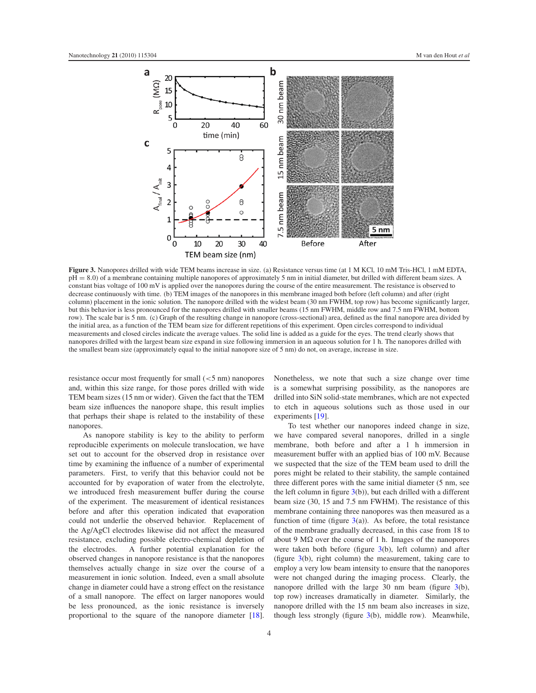

Figure 3. Nanopores drilled with wide TEM beams increase in size. (a) Resistance versus time (at 1 M KCl, 10 mM Tris-HCl, 1 mM EDTA, pH = 8.0) of a membrane containing multiple nanopores of approximately 5 nm in initial diameter, but drilled with different beam sizes. A constant bias voltage of 100 mV is applied over the nanopores during the course of the entire measurement. The resistance is observed to decrease continuously with time. (b) TEM images of the nanopores in this membrane imaged both before (left column) and after (right column) placement in the ionic solution. The nanopore drilled with the widest beam (30 nm FWHM, top row) has become significantly larger, but this behavior is less pronounced for the nanopores drilled with smaller beams (15 nm FWHM, middle row and 7.5 nm FWHM, bottom row). The scale bar is 5 nm. (c) Graph of the resulting change in nanopore (cross-sectional) area, defined as the final nanopore area divided by the initial area, as a function of the TEM beam size for different repetitions of this experiment. Open circles correspond to individual measurements and closed circles indicate the average values. The solid line is added as a guide for the eyes. The trend clearly shows that nanopores drilled with the largest beam size expand in size following immersion in an aqueous solution for 1 h. The nanopores drilled with the smallest beam size (approximately equal to the initial nanopore size of 5 nm) do not, on average, increase in size.

resistance occur most frequently for small (<5 nm) nanopores and, within this size range, for those pores drilled with wide TEM beam sizes (15 nm or wider). Given the fact that the TEM beam size influences the nanopore shape, this result implies that perhaps their shape is related to the instability of these nanopores.

As nanopore stability is key to the ability to perform reproducible experiments on molecule translocation, we have set out to account for the observed drop in resistance over time by examining the influence of a number of experimental parameters. First, to verify that this behavior could not be accounted for by evaporation of water from the electrolyte, we introduced fresh measurement buffer during the course of the experiment. The measurement of identical resistances before and after this operation indicated that evaporation could not underlie the observed behavior. Replacement of the Ag/AgCl electrodes likewise did not affect the measured resistance, excluding possible electro-chemical depletion of the electrodes. A further potential explanation for the observed changes in nanopore resistance is that the nanopores themselves actually change in size over the course of a measurement in ionic solution. Indeed, even a small absolute change in diameter could have a strong effect on the resistance of a small nanopore. The effect on larger nanopores would be less pronounced, as the ionic resistance is inversely proportional to the square of the nanopore diameter [18].

Nonetheless, we note that such a size change over time is a somewhat surprising possibility, as the nanopores are drilled into SiN solid-state membranes, which are not expected to etch in aqueous solutions such as those used in our experiments [19].

To test whether our nanopores indeed change in size, we have compared several nanopores, drilled in a single membrane, both before and after a 1 h immersion in measurement buffer with an applied bias of 100 mV. Because we suspected that the size of the TEM beam used to drill the pores might be related to their stability, the sample contained three different pores with the same initial diameter (5 nm, see the left column in figure  $3(b)$ ), but each drilled with a different beam size (30, 15 and 7.5 nm FWHM). The resistance of this membrane containing three nanopores was then measured as a function of time (figure  $3(a)$ ). As before, the total resistance of the membrane gradually decreased, in this case from 18 to about 9  $\text{M}\Omega$  over the course of 1 h. Images of the nanopores were taken both before (figure 3(b), left column) and after (figure 3(b), right column) the measurement, taking care to employ a very low beam intensity to ensure that the nanopores were not changed during the imaging process. Clearly, the nanopore drilled with the large  $30 \text{ nm}$  beam (figure  $3(b)$ , top row) increases dramatically in diameter. Similarly, the nanopore drilled with the 15 nm beam also increases in size, though less strongly (figure 3(b), middle row). Meanwhile,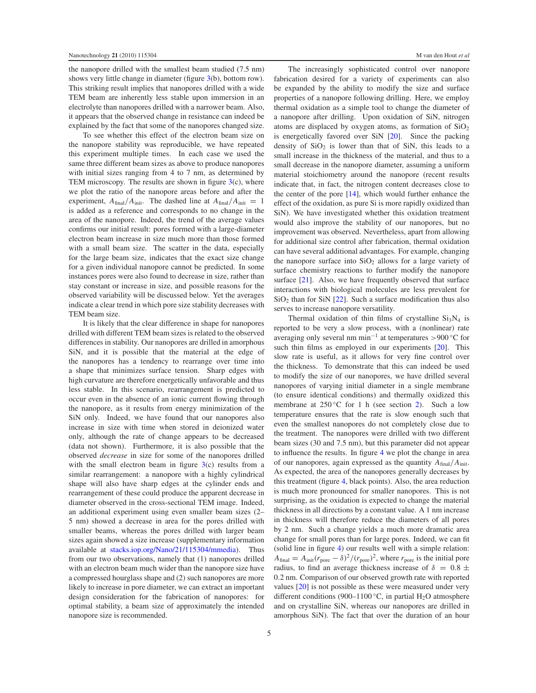the nanopore drilled with the smallest beam studied (7.5 nm) shows very little change in diameter (figure 3(b), bottom row). This striking result implies that nanopores drilled with a wide TEM beam are inherently less stable upon immersion in an electrolyte than nanopores drilled with a narrower beam. Also, it appears that the observed change in resistance can indeed be explained by the fact that some of the nanopores changed size.

To see whether this effect of the electron beam size on the nanopore stability was reproducible, we have repeated this experiment multiple times. In each case we used the same three different beam sizes as above to produce nanopores with initial sizes ranging from 4 to 7 nm, as determined by TEM microscopy. The results are shown in figure  $3(c)$ , where we plot the ratio of the nanopore areas before and after the experiment,  $A_{\text{final}}/A_{\text{init}}$ . The dashed line at  $A_{\text{final}}/A_{\text{init}} = 1$ is added as a reference and corresponds to no change in the area of the nanopore. Indeed, the trend of the average values confirms our initial result: pores formed with a large-diameter electron beam increase in size much more than those formed with a small beam size. The scatter in the data, especially for the large beam size, indicates that the exact size change for a given individual nanopore cannot be predicted. In some instances pores were also found to decrease in size, rather than stay constant or increase in size, and possible reasons for the observed variability will be discussed below. Yet the averages indicate a clear trend in which pore size stability decreases with TEM beam size.

It is likely that the clear difference in shape for nanopores drilled with different TEM beam sizes is related to the observed differences in stability. Our nanopores are drilled in amorphous SiN, and it is possible that the material at the edge of the nanopores has a tendency to rearrange over time into a shape that minimizes surface tension. Sharp edges with high curvature are therefore energetically unfavorable and thus less stable. In this scenario, rearrangement is predicted to occur even in the absence of an ionic current flowing through the nanopore, as it results from energy minimization of the SiN only. Indeed, we have found that our nanopores also increase in size with time when stored in deionized water only, although the rate of change appears to be decreased (data not shown). Furthermore, it is also possible that the observed *decrease* in size for some of the nanopores drilled with the small electron beam in figure  $3(c)$  results from a similar rearrangement: a nanopore with a highly cylindrical shape will also have sharp edges at the cylinder ends and rearrangement of these could produce the apparent decrease in diameter observed in the cross-sectional TEM image. Indeed, an additional experiment using even smaller beam sizes (2– 5 nm) showed a decrease in area for the pores drilled with smaller beams, whereas the pores drilled with larger beam sizes again showed a size increase (supplementary information available at stacks.iop.org/Nano/21/115304/mmedia). Thus from our two observations, namely that (1) nanopores drilled with an electron beam much wider than the nanopore size have a compressed hourglass shape and (2) such nanopores are more likely to increase in pore diameter, we can extract an important design consideration for the fabrication of nanopores: for optimal stability, a beam size of approximately the intended nanopore size is recommended.

The increasingly sophisticated control over nanopore fabrication desired for a variety of experiments can also be expanded by the ability to modify the size and surface properties of a nanopore following drilling. Here, we employ thermal oxidation as a simple tool to change the diameter of a nanopore after drilling. Upon oxidation of SiN, nitrogen atoms are displaced by oxygen atoms, as formation of  $SiO<sub>2</sub>$ is energetically favored over SiN [20]. Since the packing density of  $SiO<sub>2</sub>$  is lower than that of SiN, this leads to a small increase in the thickness of the material, and thus to a small decrease in the nanopore diameter, assuming a uniform material stoichiometry around the nanopore (recent results indicate that, in fact, the nitrogen content decreases close to the center of the pore  $[14]$ , which would further enhance the effect of the oxidation, as pure Si is more rapidly oxidized than SiN). We have investigated whether this oxidation treatment would also improve the stability of our nanopores, but no improvement was observed. Nevertheless, apart from allowing for additional size control after fabrication, thermal oxidation can have several additional advantages. For example, changing the nanopore surface into  $SiO<sub>2</sub>$  allows for a large variety of surface chemistry reactions to further modify the nanopore surface [21]. Also, we have frequently observed that surface interactions with biological molecules are less prevalent for  $SiO<sub>2</sub>$  than for SiN [22]. Such a surface modification thus also serves to increase nanopore versatility.

Thermal oxidation of thin films of crystalline  $Si<sub>3</sub>N<sub>4</sub>$  is reported to be very a slow process, with a (nonlinear) rate averaging only several nm min<sup>-1</sup> at temperatures >900 °C for such thin films as employed in our experiments [20]. This slow rate is useful, as it allows for very fine control over the thickness. To demonstrate that this can indeed be used to modify the size of our nanopores, we have drilled several nanopores of varying initial diameter in a single membrane (to ensure identical conditions) and thermally oxidized this membrane at  $250^{\circ}$ C for 1 h (see section 2). Such a low temperature ensures that the rate is slow enough such that even the smallest nanopores do not completely close due to the treatment. The nanopores were drilled with two different beam sizes (30 and 7.5 nm), but this parameter did not appear to influence the results. In figure 4 we plot the change in area of our nanopores, again expressed as the quantity *A*final/*A*init. As expected, the area of the nanopores generally decreases by this treatment (figure 4, black points). Also, the area reduction is much more pronounced for smaller nanopores. This is not surprising, as the oxidation is expected to change the material thickness in all directions by a constant value. A 1 nm increase in thickness will therefore reduce the diameters of all pores by 2 nm. Such a change yields a much more dramatic area change for small pores than for large pores. Indeed, we can fit (solid line in figure 4) our results well with a simple relation:  $A_{\text{final}} = A_{\text{init}}(r_{\text{pore}} - \delta)^2/(r_{\text{pore}})^2$ , where  $r_{\text{pore}}$  is the initial pore radius, to find an average thickness increase of  $\delta = 0.8 \pm$ 0.2 nm. Comparison of our observed growth rate with reported values [20] is not possible as these were measured under very different conditions (900–1100 °C, in partial H<sub>2</sub>O atmosphere and on crystalline SiN, whereas our nanopores are drilled in amorphous SiN). The fact that over the duration of an hour